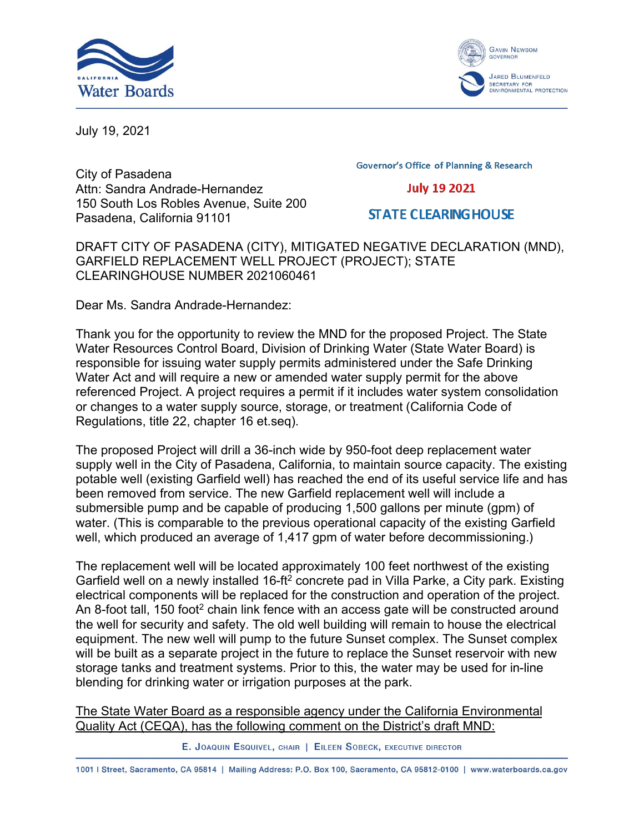



July 19, 2021

City of Pasadena Attn: Sandra Andrade-Hernandez 150 South Los Robles Avenue, Suite 200 Pasadena, California 91101

**Governor's Office of Planning & Research** 

**July 19 2021** 

## **STATE CLEARING HOUSE**

DRAFT CITY OF PASADENA (CITY), MITIGATED NEGATIVE DECLARATION (MND), GARFIELD REPLACEMENT WELL PROJECT (PROJECT); STATE CLEARINGHOUSE NUMBER 2021060461

Dear Ms. Sandra Andrade-Hernandez:

Thank you for the opportunity to review the MND for the proposed Project. The State Water Resources Control Board, Division of Drinking Water (State Water Board) is responsible for issuing water supply permits administered under the Safe Drinking Water Act and will require a new or amended water supply permit for the above referenced Project. A project requires a permit if it includes water system consolidation or changes to a water supply source, storage, or treatment (California Code of Regulations, title 22, chapter 16 et.seq).

The proposed Project will drill a 36-inch wide by 950-foot deep replacement water supply well in the City of Pasadena, California, to maintain source capacity. The existing potable well (existing Garfield well) has reached the end of its useful service life and has been removed from service. The new Garfield replacement well will include a submersible pump and be capable of producing 1,500 gallons per minute (gpm) of water. (This is comparable to the previous operational capacity of the existing Garfield well, which produced an average of 1,417 gpm of water before decommissioning.)

The replacement well will be located approximately 100 feet northwest of the existing Garfield well on a newly installed 16-ft<sup>2</sup> concrete pad in Villa Parke, a City park. Existing electrical components will be replaced for the construction and operation of the project. An 8-foot tall, 150 foot<sup>2</sup> chain link fence with an access gate will be constructed around the well for security and safety. The old well building will remain to house the electrical equipment. The new well will pump to the future Sunset complex. The Sunset complex will be built as a separate project in the future to replace the Sunset reservoir with new storage tanks and treatment systems. Prior to this, the water may be used for in-line blending for drinking water or irrigation purposes at the park.

The State Water Board as a responsible agency under the California Environmental Quality Act (CEQA), has the following comment on the District's draft MND:

E. JOAQUIN ESQUIVEL, CHAIR | EILEEN SOBECK, EXECUTIVE DIRECTOR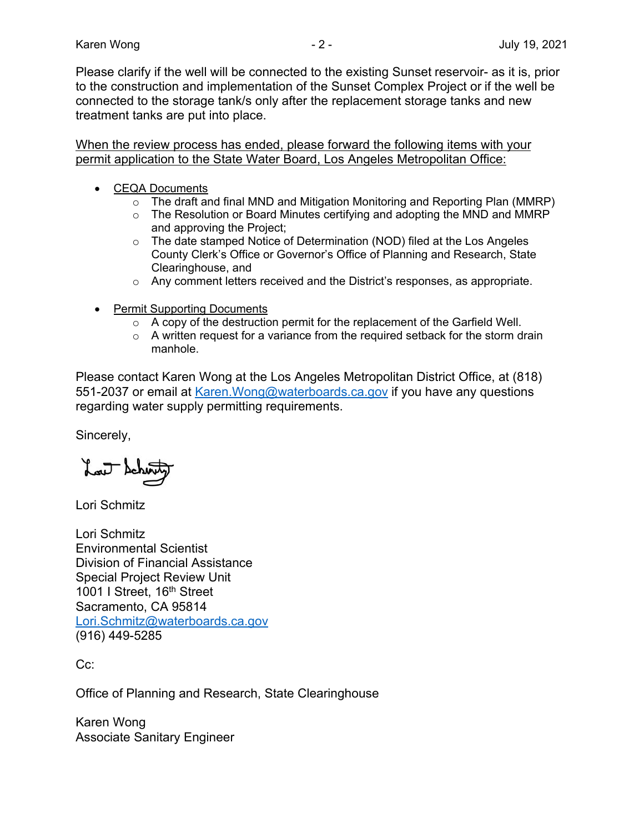Please clarify if the well will be connected to the existing Sunset reservoir- as it is, prior to the construction and implementation of the Sunset Complex Project or if the well be connected to the storage tank/s only after the replacement storage tanks and new treatment tanks are put into place.

When the review process has ended, please forward the following items with your permit application to the State Water Board, Los Angeles Metropolitan Office:

- · CEQA Documents
	- $\circ$  The draft and final MND and Mitigation Monitoring and Reporting Plan (MMRP)
	- $\circ$  The Resolution or Board Minutes certifying and adopting the MND and MMRP and approving the Project;
	- o The date stamped Notice of Determination (NOD) filed at the Los Angeles County Clerk's Office or Governor's Office of Planning and Research, State Clearinghouse, and
	- o Any comment letters received and the District's responses, as appropriate.
- Permit Supporting Documents
	- $\circ$  A copy of the destruction permit for the replacement of the Garfield Well.
	- $\circ$  A written request for a variance from the required setback for the storm drain manhole.

Please contact Karen Wong at the Los Angeles Metropolitan District Office, at (818) 551-2037 or email at [Karen.Wong@waterboards.ca.gov](mailto:Karen.Wong@waterboards.ca.gov) if you have any questions regarding water supply permitting requirements.

Sincerely,

Lori Schmitz

Lori Schmitz Environmental Scientist Division of Financial Assistance Special Project Review Unit 1001 I Street, 16<sup>th</sup> Street Sacramento, CA 95814 [Lori.Schmitz@waterboards.ca.gov](mailto:Lori.Schmitz@waterboards.ca.gov) (916) 449-5285

Cc:

Office of Planning and Research, State Clearinghouse

Karen Wong Associate Sanitary Engineer